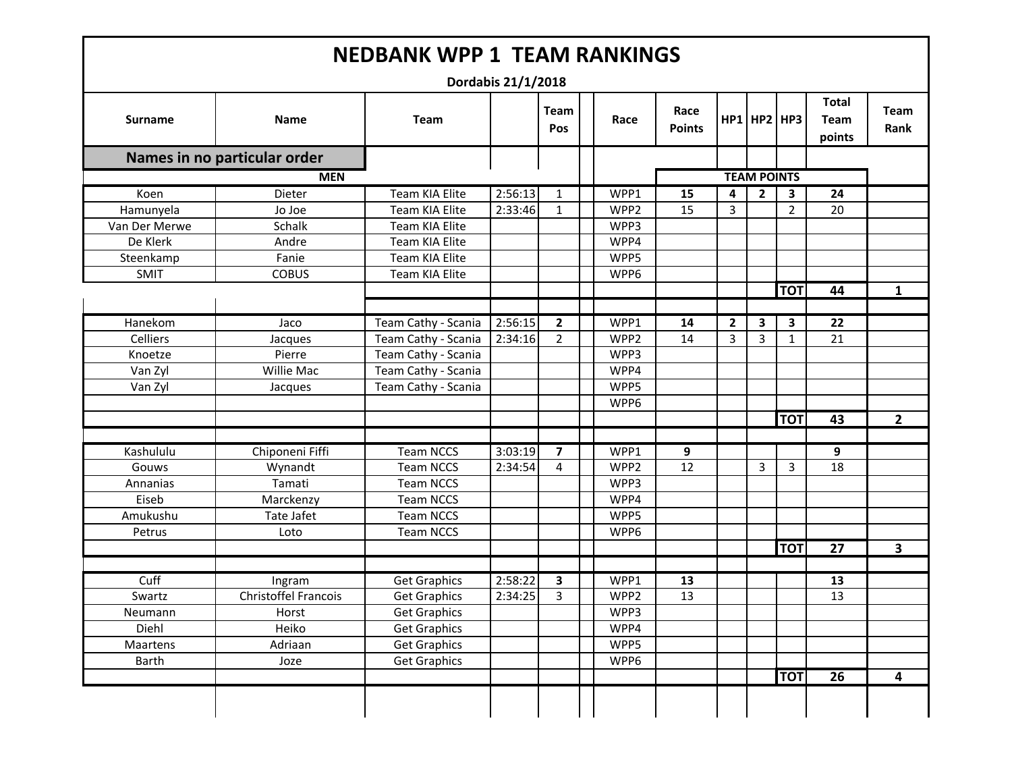|                |                              |                     | Dordabis 21/1/2018 |                    |                  |                       |              |                    |                |                                       |                     |
|----------------|------------------------------|---------------------|--------------------|--------------------|------------------|-----------------------|--------------|--------------------|----------------|---------------------------------------|---------------------|
| <b>Surname</b> | <b>Name</b>                  | <b>Team</b>         |                    | <b>Team</b><br>Pos | Race             | Race<br><b>Points</b> |              | $HP1$ HP2 HP3      |                | <b>Total</b><br><b>Team</b><br>points | <b>Team</b><br>Rank |
|                | Names in no particular order |                     |                    |                    |                  |                       |              |                    |                |                                       |                     |
|                | <b>MEN</b>                   |                     |                    |                    |                  |                       |              | <b>TEAM POINTS</b> |                |                                       |                     |
| Koen           | Dieter                       | Team KIA Elite      | 2:56:13            | 1                  | WPP1             | 15                    | 4            | $\overline{2}$     | 3              | 24                                    |                     |
| Hamunyela      | Jo Joe                       | Team KIA Elite      | 2:33:46            | $\mathbf{1}$       | WPP <sub>2</sub> | 15                    | 3            |                    | $\overline{2}$ | 20                                    |                     |
| Van Der Merwe  | Schalk                       | Team KIA Elite      |                    |                    | WPP3             |                       |              |                    |                |                                       |                     |
| De Klerk       | Andre                        | Team KIA Elite      |                    |                    | WPP4             |                       |              |                    |                |                                       |                     |
| Steenkamp      | Fanie                        | Team KIA Elite      |                    |                    | WPP5             |                       |              |                    |                |                                       |                     |
| <b>SMIT</b>    | <b>COBUS</b>                 | Team KIA Elite      |                    |                    | WPP6             |                       |              |                    |                |                                       |                     |
|                |                              |                     |                    |                    |                  |                       |              |                    | <b>TOT</b>     | 44                                    | 1                   |
|                |                              |                     |                    |                    |                  |                       |              |                    |                |                                       |                     |
| Hanekom        | Jaco                         | Team Cathy - Scania | 2:56:15            | $\mathbf{2}$       | WPP1             | 14                    | $\mathbf{2}$ | 3                  | 3              | 22                                    |                     |
| Celliers       | Jacques                      | Team Cathy - Scania | 2:34:16            | $\overline{2}$     | WPP <sub>2</sub> | 14                    | 3            | $\mathbf{3}$       | 1              | 21                                    |                     |
| Knoetze        | Pierre                       | Team Cathy - Scania |                    |                    | WPP3             |                       |              |                    |                |                                       |                     |
| Van Zyl        | Willie Mac                   | Team Cathy - Scania |                    |                    | WPP4             |                       |              |                    |                |                                       |                     |
| Van Zyl        | Jacques                      | Team Cathy - Scania |                    |                    | WPP5             |                       |              |                    |                |                                       |                     |
|                |                              |                     |                    |                    | WPP6             |                       |              |                    |                |                                       |                     |
|                |                              |                     |                    |                    |                  |                       |              |                    | <b>TOT</b>     | 43                                    | $\mathbf{2}$        |
|                |                              |                     |                    |                    |                  |                       |              |                    |                |                                       |                     |
| Kashululu      | Chiponeni Fiffi              | <b>Team NCCS</b>    | 3:03:19            | 7                  | WPP1             | 9                     |              |                    |                | 9                                     |                     |
| Gouws          | Wynandt                      | <b>Team NCCS</b>    | 2:34:54            | 4                  | WPP <sub>2</sub> | 12                    |              | 3                  | 3              | 18                                    |                     |
| Annanias       | Tamati                       | <b>Team NCCS</b>    |                    |                    | WPP3             |                       |              |                    |                |                                       |                     |
| Eiseb          | Marckenzy                    | <b>Team NCCS</b>    |                    |                    | WPP4             |                       |              |                    |                |                                       |                     |
| Amukushu       | Tate Jafet                   | <b>Team NCCS</b>    |                    |                    | WPP5             |                       |              |                    |                |                                       |                     |
| Petrus         | Loto                         | <b>Team NCCS</b>    |                    |                    | WPP6             |                       |              |                    |                |                                       |                     |
|                |                              |                     |                    |                    |                  |                       |              |                    | <b>TOT</b>     | 27                                    | 3                   |
|                |                              |                     |                    |                    |                  |                       |              |                    |                |                                       |                     |
| Cuff           | Ingram                       | <b>Get Graphics</b> | 2:58:22            | 3                  | WPP1             | 13                    |              |                    |                | 13                                    |                     |
| Swartz         | Christoffel Francois         | <b>Get Graphics</b> | 2:34:25            | 3                  | WPP <sub>2</sub> | 13                    |              |                    |                | 13                                    |                     |
| Neumann        | Horst                        | <b>Get Graphics</b> |                    |                    | WPP3             |                       |              |                    |                |                                       |                     |
| Diehl          | Heiko                        | <b>Get Graphics</b> |                    |                    | WPP4             |                       |              |                    |                |                                       |                     |
| Maartens       | Adriaan                      | <b>Get Graphics</b> |                    |                    | WPP5             |                       |              |                    |                |                                       |                     |
| <b>Barth</b>   | Joze                         | <b>Get Graphics</b> |                    |                    | WPP6             |                       |              |                    |                |                                       |                     |
|                |                              |                     |                    |                    |                  |                       |              |                    | <b>TOT</b>     | $\overline{26}$                       | 4                   |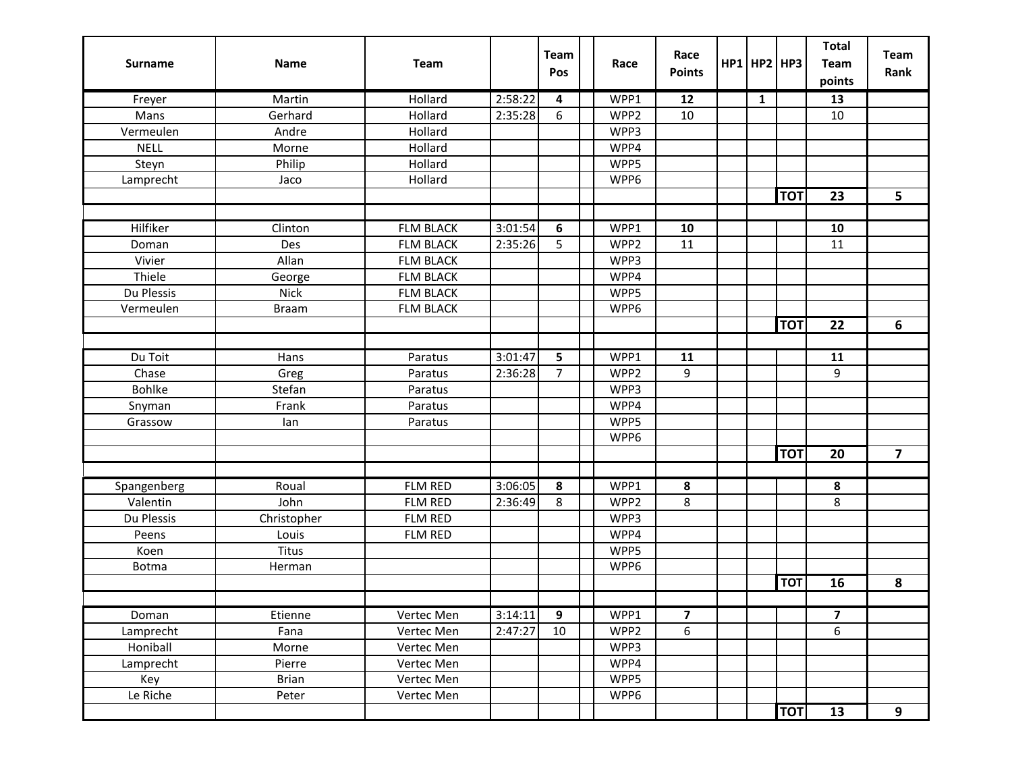| <b>Surname</b> | <b>Name</b>  | Team             |         | <b>Team</b><br>Pos | Race | Race<br><b>Points</b> |  |              | $HP1$ HP2 HP3 | <b>Total</b><br><b>Team</b> | <b>Team</b><br>Rank |
|----------------|--------------|------------------|---------|--------------------|------|-----------------------|--|--------------|---------------|-----------------------------|---------------------|
|                |              |                  |         |                    |      |                       |  |              |               | points                      |                     |
| Freyer         | Martin       | Hollard          | 2:58:22 | 4                  | WPP1 | 12                    |  | $\mathbf{1}$ |               | 13                          |                     |
| Mans           | Gerhard      | Hollard          | 2:35:28 | 6                  | WPP2 | 10                    |  |              |               | 10                          |                     |
| Vermeulen      | Andre        | Hollard          |         |                    | WPP3 |                       |  |              |               |                             |                     |
| <b>NELL</b>    | Morne        | Hollard          |         |                    | WPP4 |                       |  |              |               |                             |                     |
| Steyn          | Philip       | Hollard          |         |                    | WPP5 |                       |  |              |               |                             |                     |
| Lamprecht      | Jaco         | Hollard          |         |                    | WPP6 |                       |  |              |               |                             |                     |
|                |              |                  |         |                    |      |                       |  |              | <b>TOT</b>    | 23                          | 5                   |
|                |              |                  |         |                    |      |                       |  |              |               |                             |                     |
| Hilfiker       | Clinton      | <b>FLM BLACK</b> | 3:01:54 | 6                  | WPP1 | 10                    |  |              |               | 10                          |                     |
| Doman          | Des          | <b>FLM BLACK</b> | 2:35:26 | 5                  | WPP2 | 11                    |  |              |               | 11                          |                     |
| Vivier         | Allan        | <b>FLM BLACK</b> |         |                    | WPP3 |                       |  |              |               |                             |                     |
| Thiele         | George       | <b>FLM BLACK</b> |         |                    | WPP4 |                       |  |              |               |                             |                     |
| Du Plessis     | <b>Nick</b>  | <b>FLM BLACK</b> |         |                    | WPP5 |                       |  |              |               |                             |                     |
| Vermeulen      | <b>Braam</b> | <b>FLM BLACK</b> |         |                    | WPP6 |                       |  |              |               |                             |                     |
|                |              |                  |         |                    |      |                       |  |              | <b>TOT</b>    | 22                          | 6                   |
|                |              |                  |         |                    |      |                       |  |              |               |                             |                     |
| Du Toit        | Hans         | Paratus          | 3:01:47 | 5                  | WPP1 | 11                    |  |              |               | 11                          |                     |
| Chase          | Greg         | Paratus          | 2:36:28 | 7                  | WPP2 | 9                     |  |              |               | 9                           |                     |
| <b>Bohlke</b>  | Stefan       | Paratus          |         |                    | WPP3 |                       |  |              |               |                             |                     |
| Snyman         | Frank        | Paratus          |         |                    | WPP4 |                       |  |              |               |                             |                     |
| Grassow        | lan          | Paratus          |         |                    | WPP5 |                       |  |              |               |                             |                     |
|                |              |                  |         |                    | WPP6 |                       |  |              |               |                             |                     |
|                |              |                  |         |                    |      |                       |  |              | <b>TOT</b>    | 20                          | $\overline{7}$      |
|                |              |                  |         |                    |      |                       |  |              |               |                             |                     |
| Spangenberg    | Roual        | <b>FLM RED</b>   | 3:06:05 | 8                  | WPP1 | 8                     |  |              |               | 8                           |                     |
| Valentin       | John         | <b>FLM RED</b>   | 2:36:49 | 8                  | WPP2 | 8                     |  |              |               | 8                           |                     |
| Du Plessis     | Christopher  | FLM RED          |         |                    | WPP3 |                       |  |              |               |                             |                     |
| Peens          | Louis        | FLM RED          |         |                    | WPP4 |                       |  |              |               |                             |                     |
| Koen           | Titus        |                  |         |                    | WPP5 |                       |  |              |               |                             |                     |
| <b>Botma</b>   | Herman       |                  |         |                    | WPP6 |                       |  |              |               |                             |                     |
|                |              |                  |         |                    |      |                       |  |              | <b>TOT</b>    | 16                          | 8                   |
|                |              |                  |         |                    |      |                       |  |              |               |                             |                     |
| Doman          | Etienne      | Vertec Men       | 3:14:11 | 9                  | WPP1 | 7                     |  |              |               | 7                           |                     |
| Lamprecht      | Fana         | Vertec Men       | 2:47:27 | 10                 | WPP2 | 6                     |  |              |               | 6                           |                     |
| Honiball       | Morne        | Vertec Men       |         |                    | WPP3 |                       |  |              |               |                             |                     |
| Lamprecht      | Pierre       | Vertec Men       |         |                    | WPP4 |                       |  |              |               |                             |                     |
| Key            | <b>Brian</b> | Vertec Men       |         |                    | WPP5 |                       |  |              |               |                             |                     |
| Le Riche       | Peter        | Vertec Men       |         |                    | WPP6 |                       |  |              |               |                             |                     |
|                |              |                  |         |                    |      |                       |  |              | <b>TOT</b>    | 13                          | 9                   |